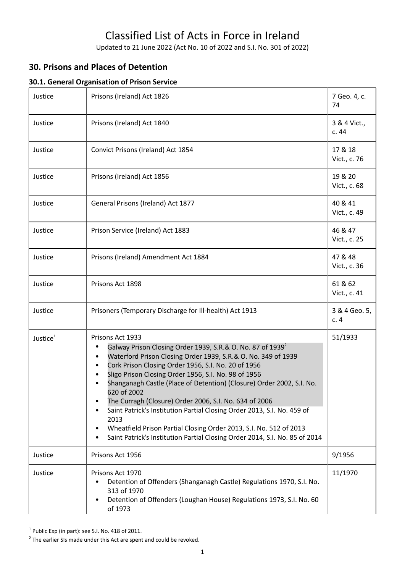# Classified List of Acts in Force in Ireland

Updated to 21 June 2022 (Act No. 10 of 2022 and S.I. No. 301 of 2022)

# **30. Prisons and Places of Detention**

## **30.1. General Organisation of Prison Service**

| Justice              | Prisons (Ireland) Act 1826                                                                                                                                                                                                                                                                                                                                                                                                                                                                                                                                                                                                                                      | 7 Geo. 4, c.<br>74      |
|----------------------|-----------------------------------------------------------------------------------------------------------------------------------------------------------------------------------------------------------------------------------------------------------------------------------------------------------------------------------------------------------------------------------------------------------------------------------------------------------------------------------------------------------------------------------------------------------------------------------------------------------------------------------------------------------------|-------------------------|
| Justice              | Prisons (Ireland) Act 1840                                                                                                                                                                                                                                                                                                                                                                                                                                                                                                                                                                                                                                      | 3 & 4 Vict.,<br>c.44    |
| Justice              | Convict Prisons (Ireland) Act 1854                                                                                                                                                                                                                                                                                                                                                                                                                                                                                                                                                                                                                              | 17 & 18<br>Vict., c. 76 |
| Justice              | Prisons (Ireland) Act 1856                                                                                                                                                                                                                                                                                                                                                                                                                                                                                                                                                                                                                                      | 19 & 20<br>Vict., c. 68 |
| Justice              | General Prisons (Ireland) Act 1877                                                                                                                                                                                                                                                                                                                                                                                                                                                                                                                                                                                                                              | 40 & 41<br>Vict., c. 49 |
| Justice              | Prison Service (Ireland) Act 1883                                                                                                                                                                                                                                                                                                                                                                                                                                                                                                                                                                                                                               | 46 & 47<br>Vict., c. 25 |
| Justice              | Prisons (Ireland) Amendment Act 1884                                                                                                                                                                                                                                                                                                                                                                                                                                                                                                                                                                                                                            | 47 & 48<br>Vict., c. 36 |
| Justice              | Prisons Act 1898                                                                                                                                                                                                                                                                                                                                                                                                                                                                                                                                                                                                                                                | 61 & 62<br>Vict., c. 41 |
| Justice              | Prisoners (Temporary Discharge for Ill-health) Act 1913                                                                                                                                                                                                                                                                                                                                                                                                                                                                                                                                                                                                         | 3 & 4 Geo. 5,<br>c.4    |
| Justice <sup>1</sup> | Prisons Act 1933<br>Galway Prison Closing Order 1939, S.R.& O. No. 87 of $19392$<br>Waterford Prison Closing Order 1939, S.R.& O. No. 349 of 1939<br>Cork Prison Closing Order 1956, S.I. No. 20 of 1956<br>Sligo Prison Closing Order 1956, S.I. No. 98 of 1956<br>Shanganagh Castle (Place of Detention) (Closure) Order 2002, S.I. No.<br>620 of 2002<br>The Curragh (Closure) Order 2006, S.I. No. 634 of 2006<br>Saint Patrick's Institution Partial Closing Order 2013, S.I. No. 459 of<br>٠<br>2013<br>Wheatfield Prison Partial Closing Order 2013, S.I. No. 512 of 2013<br>Saint Patrick's Institution Partial Closing Order 2014, S.I. No. 85 of 2014 | 51/1933                 |
| Justice              | Prisons Act 1956                                                                                                                                                                                                                                                                                                                                                                                                                                                                                                                                                                                                                                                | 9/1956                  |
| Justice              | Prisons Act 1970<br>Detention of Offenders (Shanganagh Castle) Regulations 1970, S.I. No.<br>313 of 1970<br>Detention of Offenders (Loughan House) Regulations 1973, S.I. No. 60<br>$\bullet$<br>of 1973                                                                                                                                                                                                                                                                                                                                                                                                                                                        | 11/1970                 |

 $1$  Public Exp (in part): see S.I. No. 418 of 2011.

 $2$  The earlier SIs made under this Act are spent and could be revoked.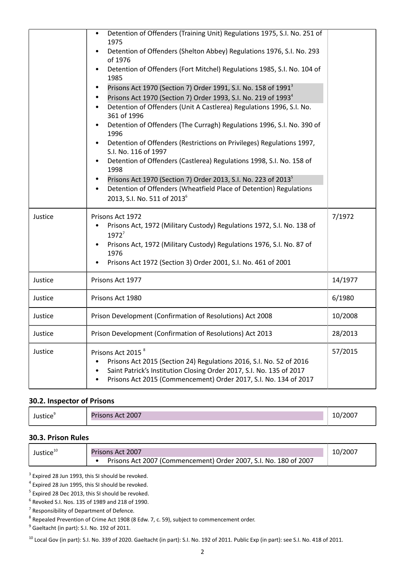|         | Detention of Offenders (Training Unit) Regulations 1975, S.I. No. 251 of<br>1975<br>Detention of Offenders (Shelton Abbey) Regulations 1976, S.I. No. 293<br>of 1976<br>Detention of Offenders (Fort Mitchel) Regulations 1985, S.I. No. 104 of<br>1985<br>Prisons Act 1970 (Section 7) Order 1991, S.I. No. 158 of 1991 <sup>3</sup><br>Prisons Act 1970 (Section 7) Order 1993, S.I. No. 219 of 1993 <sup>4</sup><br>Detention of Offenders (Unit A Castlerea) Regulations 1996, S.I. No.<br>361 of 1996<br>Detention of Offenders (The Curragh) Regulations 1996, S.I. No. 390 of<br>1996<br>Detention of Offenders (Restrictions on Privileges) Regulations 1997,<br>S.I. No. 116 of 1997<br>Detention of Offenders (Castlerea) Regulations 1998, S.I. No. 158 of<br>1998<br>Prisons Act 1970 (Section 7) Order 2013, S.I. No. 223 of 2013 <sup>5</sup><br>Detention of Offenders (Wheatfield Place of Detention) Regulations<br>2013, S.I. No. 511 of 2013 <sup>6</sup> |         |
|---------|------------------------------------------------------------------------------------------------------------------------------------------------------------------------------------------------------------------------------------------------------------------------------------------------------------------------------------------------------------------------------------------------------------------------------------------------------------------------------------------------------------------------------------------------------------------------------------------------------------------------------------------------------------------------------------------------------------------------------------------------------------------------------------------------------------------------------------------------------------------------------------------------------------------------------------------------------------------------------|---------|
| Justice | Prisons Act 1972<br>Prisons Act, 1972 (Military Custody) Regulations 1972, S.I. No. 138 of<br>$1972^7$<br>Prisons Act, 1972 (Military Custody) Regulations 1976, S.I. No. 87 of<br>1976<br>Prisons Act 1972 (Section 3) Order 2001, S.I. No. 461 of 2001                                                                                                                                                                                                                                                                                                                                                                                                                                                                                                                                                                                                                                                                                                                     | 7/1972  |
| Justice | Prisons Act 1977                                                                                                                                                                                                                                                                                                                                                                                                                                                                                                                                                                                                                                                                                                                                                                                                                                                                                                                                                             | 14/1977 |
| Justice | Prisons Act 1980                                                                                                                                                                                                                                                                                                                                                                                                                                                                                                                                                                                                                                                                                                                                                                                                                                                                                                                                                             | 6/1980  |
| Justice | Prison Development (Confirmation of Resolutions) Act 2008                                                                                                                                                                                                                                                                                                                                                                                                                                                                                                                                                                                                                                                                                                                                                                                                                                                                                                                    | 10/2008 |
| Justice | Prison Development (Confirmation of Resolutions) Act 2013                                                                                                                                                                                                                                                                                                                                                                                                                                                                                                                                                                                                                                                                                                                                                                                                                                                                                                                    | 28/2013 |
| Justice | Prisons Act 2015 <sup>8</sup><br>Prisons Act 2015 (Section 24) Regulations 2016, S.I. No. 52 of 2016<br>Saint Patrick's Institution Closing Order 2017, S.I. No. 135 of 2017<br>Prisons Act 2015 (Commencement) Order 2017, S.I. No. 134 of 2017                                                                                                                                                                                                                                                                                                                                                                                                                                                                                                                                                                                                                                                                                                                             | 57/2015 |

#### **30.2. Inspector of Prisons**

| $ -$ | 2007 | UΟ. |
|------|------|-----|
|------|------|-----|

#### **30.3. Prison Rules**

| Justice <sup>10</sup> | Prisons Act 2007                                                 | 10/2007 |
|-----------------------|------------------------------------------------------------------|---------|
|                       | Prisons Act 2007 (Commencement) Order 2007, S.I. No. 180 of 2007 |         |

 $3$  Expired 28 Jun 1993, this SI should be revoked.

<sup>4</sup> Expired 28 Jun 1995, this SI should be revoked.

<sup>5</sup> Expired 28 Dec 2013, this SI should be revoked.

 $<sup>6</sup>$  Revoked S.I. Nos. 135 of 1989 and 218 of 1990.</sup>

<sup>7</sup> Responsibility of Department of Defence.

 $^8$  Repealed Prevention of Crime Act 1908 (8 Edw. 7, c. 59), subject to commencement order.

<sup>9</sup> Gaeltacht (in part): S.I. No. 192 of 2011.

<sup>10</sup> Local Gov (in part): S.I. No. 339 of 2020. Gaeltacht (in part): S.I. No. 192 of 2011. Public Exp (in part): see S.I. No. 418 of 2011.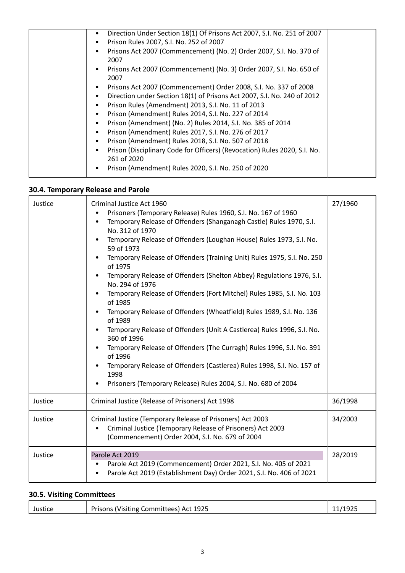| Direction Under Section 18(1) Of Prisons Act 2007, S.I. No. 251 of 2007     |
|-----------------------------------------------------------------------------|
| Prison Rules 2007, S.I. No. 252 of 2007                                     |
| Prisons Act 2007 (Commencement) (No. 2) Order 2007, S.I. No. 370 of<br>2007 |
|                                                                             |
| Prisons Act 2007 (Commencement) (No. 3) Order 2007, S.I. No. 650 of<br>2007 |
| Prisons Act 2007 (Commencement) Order 2008, S.I. No. 337 of 2008            |
| Direction under Section 18(1) of Prisons Act 2007, S.I. No. 240 of 2012     |
| Prison Rules (Amendment) 2013, S.I. No. 11 of 2013                          |
| Prison (Amendment) Rules 2014, S.I. No. 227 of 2014                         |
| Prison (Amendment) (No. 2) Rules 2014, S.I. No. 385 of 2014                 |
| Prison (Amendment) Rules 2017, S.I. No. 276 of 2017                         |
| Prison (Amendment) Rules 2018, S.I. No. 507 of 2018                         |
| Prison (Disciplinary Code for Officers) (Revocation) Rules 2020, S.I. No.   |
| 261 of 2020                                                                 |
| Prison (Amendment) Rules 2020, S.I. No. 250 of 2020                         |
|                                                                             |

## **30.4. Temporary Release and Parole**

| Justice | Criminal Justice Act 1960<br>Prisoners (Temporary Release) Rules 1960, S.I. No. 167 of 1960<br>$\bullet$<br>Temporary Release of Offenders (Shanganagh Castle) Rules 1970, S.I.<br>No. 312 of 1970<br>Temporary Release of Offenders (Loughan House) Rules 1973, S.I. No.<br>59 of 1973<br>Temporary Release of Offenders (Training Unit) Rules 1975, S.I. No. 250<br>of 1975<br>Temporary Release of Offenders (Shelton Abbey) Regulations 1976, S.I.<br>No. 294 of 1976<br>Temporary Release of Offenders (Fort Mitchel) Rules 1985, S.I. No. 103<br>$\bullet$<br>of 1985<br>Temporary Release of Offenders (Wheatfield) Rules 1989, S.I. No. 136<br>of 1989<br>Temporary Release of Offenders (Unit A Castlerea) Rules 1996, S.I. No.<br>360 of 1996<br>Temporary Release of Offenders (The Curragh) Rules 1996, S.I. No. 391<br>$\bullet$<br>of 1996<br>Temporary Release of Offenders (Castlerea) Rules 1998, S.I. No. 157 of<br>1998<br>Prisoners (Temporary Release) Rules 2004, S.I. No. 680 of 2004 | 27/1960 |
|---------|--------------------------------------------------------------------------------------------------------------------------------------------------------------------------------------------------------------------------------------------------------------------------------------------------------------------------------------------------------------------------------------------------------------------------------------------------------------------------------------------------------------------------------------------------------------------------------------------------------------------------------------------------------------------------------------------------------------------------------------------------------------------------------------------------------------------------------------------------------------------------------------------------------------------------------------------------------------------------------------------------------------|---------|
| Justice | Criminal Justice (Release of Prisoners) Act 1998                                                                                                                                                                                                                                                                                                                                                                                                                                                                                                                                                                                                                                                                                                                                                                                                                                                                                                                                                             | 36/1998 |
| Justice | Criminal Justice (Temporary Release of Prisoners) Act 2003<br>Criminal Justice (Temporary Release of Prisoners) Act 2003<br>(Commencement) Order 2004, S.I. No. 679 of 2004                                                                                                                                                                                                                                                                                                                                                                                                                                                                                                                                                                                                                                                                                                                                                                                                                                  | 34/2003 |
| Justice | Parole Act 2019<br>Parole Act 2019 (Commencement) Order 2021, S.I. No. 405 of 2021<br>Parole Act 2019 (Establishment Day) Order 2021, S.I. No. 406 of 2021                                                                                                                                                                                                                                                                                                                                                                                                                                                                                                                                                                                                                                                                                                                                                                                                                                                   | 28/2019 |

## **30.5. Visiting Committees**

|  | Justice | Prisons (Visiting Committees) Act 1925 | 11/1925 |
|--|---------|----------------------------------------|---------|
|--|---------|----------------------------------------|---------|